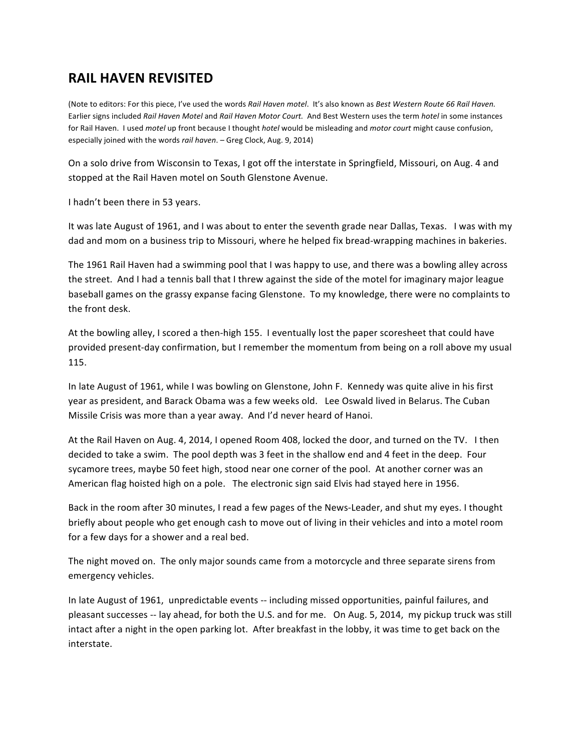## **RAIL HAVEN REVISITED**

(Note to editors: For this piece, I've used the words Rail Haven motel. It's also known as Best Western Route 66 Rail Haven. Earlier signs included *Rail Haven Motel* and *Rail Haven Motor Court.* And Best Western uses the term *hotel* in some instances for Rail Haven. I used *motel* up front because I thought *hotel* would be misleading and *motor court* might cause confusion, especially joined with the words *rail haven*. – Greg Clock, Aug. 9, 2014)

On a solo drive from Wisconsin to Texas, I got off the interstate in Springfield, Missouri, on Aug. 4 and stopped at the Rail Haven motel on South Glenstone Avenue.

I hadn't been there in 53 years.

It was late August of 1961, and I was about to enter the seventh grade near Dallas, Texas. I was with my dad and mom on a business trip to Missouri, where he helped fix bread-wrapping machines in bakeries.

The 1961 Rail Haven had a swimming pool that I was happy to use, and there was a bowling alley across the street. And I had a tennis ball that I threw against the side of the motel for imaginary major league baseball games on the grassy expanse facing Glenstone. To my knowledge, there were no complaints to the front desk.

At the bowling alley, I scored a then-high 155. I eventually lost the paper scoresheet that could have provided present-day confirmation, but I remember the momentum from being on a roll above my usual 115.

In late August of 1961, while I was bowling on Glenstone, John F. Kennedy was quite alive in his first year as president, and Barack Obama was a few weeks old. Lee Oswald lived in Belarus. The Cuban Missile Crisis was more than a year away. And I'd never heard of Hanoi.

At the Rail Haven on Aug. 4, 2014, I opened Room 408, locked the door, and turned on the TV. I then decided to take a swim. The pool depth was 3 feet in the shallow end and 4 feet in the deep. Four sycamore trees, maybe 50 feet high, stood near one corner of the pool. At another corner was an American flag hoisted high on a pole. The electronic sign said Elvis had stayed here in 1956.

Back in the room after 30 minutes, I read a few pages of the News-Leader, and shut my eyes. I thought briefly about people who get enough cash to move out of living in their vehicles and into a motel room for a few days for a shower and a real bed.

The night moved on. The only major sounds came from a motorcycle and three separate sirens from emergency vehicles.

In late August of 1961, unpredictable events -- including missed opportunities, painful failures, and pleasant successes -- lay ahead, for both the U.S. and for me. On Aug. 5, 2014, my pickup truck was still intact after a night in the open parking lot. After breakfast in the lobby, it was time to get back on the interstate.